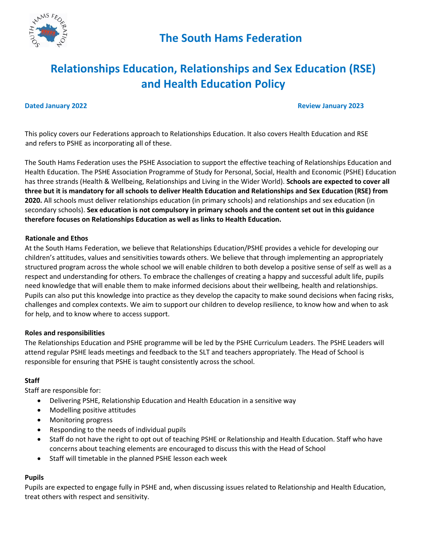

#### **Dated January 2022 Review January 2023 Review January 2023**

This policy covers our Federations approach to Relationships Education. It also covers Health Education and RSE and refers to PSHE as incorporating all of these.

The South Hams Federation uses the PSHE Association to support the effective teaching of Relationships Education and Health Education. The PSHE Association Programme of Study for Personal, Social, Health and Economic (PSHE) Education has three strands (Health & Wellbeing, Relationships and Living in the Wider World). **Schools are expected to cover all three but it is mandatory for all schools to deliver Health Education and Relationships and Sex Education (RSE) from 2020.** All schools must deliver relationships education (in primary schools) and relationships and sex education (in secondary schools). **Sex education is not compulsory in primary schools and the content set out in this guidance therefore focuses on Relationships Education as well as links to Health Education.** 

#### **Rationale and Ethos**

At the South Hams Federation, we believe that Relationships Education/PSHE provides a vehicle for developing our children's attitudes, values and sensitivities towards others. We believe that through implementing an appropriately structured program across the whole school we will enable children to both develop a positive sense of self as well as a respect and understanding for others. To embrace the challenges of creating a happy and successful adult life, pupils need knowledge that will enable them to make informed decisions about their wellbeing, health and relationships. Pupils can also put this knowledge into practice as they develop the capacity to make sound decisions when facing risks, challenges and complex contexts. We aim to support our children to develop resilience, to know how and when to ask for help, and to know where to access support.

### **Roles and responsibilities**

The Relationships Education and PSHE programme will be led by the PSHE Curriculum Leaders. The PSHE Leaders will attend regular PSHE leads meetings and feedback to the SLT and teachers appropriately. The Head of School is responsible for ensuring that PSHE is taught consistently across the school.

### **Staff**

Staff are responsible for:

- Delivering PSHE, Relationship Education and Health Education in a sensitive way
- Modelling positive attitudes
- Monitoring progress
- Responding to the needs of individual pupils
- Staff do not have the right to opt out of teaching PSHE or Relationship and Health Education. Staff who have concerns about teaching elements are encouraged to discuss this with the Head of School
- Staff will timetable in the planned PSHE lesson each week

## **Pupils**

Pupils are expected to engage fully in PSHE and, when discussing issues related to Relationship and Health Education, treat others with respect and sensitivity.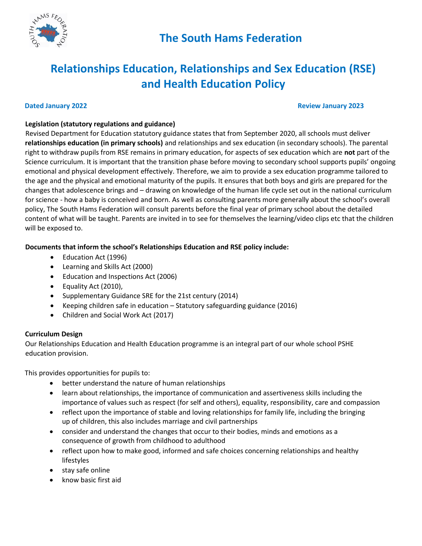

#### **Dated January 2022 Review January 2023**

## **Legislation (statutory regulations and guidance)**

Revised Department for Education statutory guidance states that from September 2020, all schools must deliver **relationships education (in primary schools)** and relationships and sex education (in secondary schools). The parental right to withdraw pupils from RSE remains in primary education, for aspects of sex education which are **not** part of the Science curriculum. It is important that the transition phase before moving to secondary school supports pupils' ongoing emotional and physical development effectively. Therefore, we aim to provide a sex education programme tailored to the age and the physical and emotional maturity of the pupils. It ensures that both boys and girls are prepared for the changes that adolescence brings and – drawing on knowledge of the human life cycle set out in the national curriculum for science - how a baby is conceived and born. As well as consulting parents more generally about the school's overall policy, The South Hams Federation will consult parents before the final year of primary school about the detailed content of what will be taught. Parents are invited in to see for themselves the learning/video clips etc that the children will be exposed to.

**Documents that inform the school's Relationships Education and RSE policy include:** 

- Education Act (1996)
- Learning and Skills Act (2000)
- Education and Inspections Act (2006)
- Equality Act (2010),
- Supplementary Guidance SRE for the 21st century (2014)
- Keeping children safe in education Statutory safeguarding guidance (2016)
- Children and Social Work Act (2017)

## **Curriculum Design**

Our Relationships Education and Health Education programme is an integral part of our whole school PSHE education provision.

This provides opportunities for pupils to:

- better understand the nature of human relationships
- learn about relationships, the importance of communication and assertiveness skills including the importance of values such as respect (for self and others), equality, responsibility, care and compassion
- reflect upon the importance of stable and loving relationships for family life, including the bringing up of children, this also includes marriage and civil partnerships
- consider and understand the changes that occur to their bodies, minds and emotions as a consequence of growth from childhood to adulthood
- reflect upon how to make good, informed and safe choices concerning relationships and healthy lifestyles
- stay safe online
- know basic first aid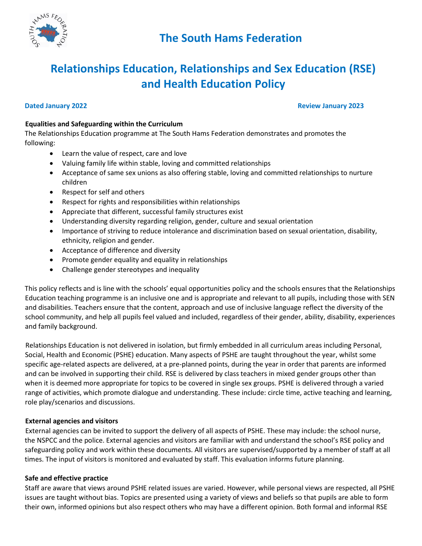

#### **Dated January 2022 Review January 2023**

### **Equalities and Safeguarding within the Curriculum**

The Relationships Education programme at The South Hams Federation demonstrates and promotes the following:

- Learn the value of respect, care and love
- Valuing family life within stable, loving and committed relationships
- Acceptance of same sex unions as also offering stable, loving and committed relationships to nurture children
- Respect for self and others
- Respect for rights and responsibilities within relationships
- Appreciate that different, successful family structures exist
- Understanding diversity regarding religion, gender, culture and sexual orientation
- Importance of striving to reduce intolerance and discrimination based on sexual orientation, disability, ethnicity, religion and gender.
- Acceptance of difference and diversity
- Promote gender equality and equality in relationships
- Challenge gender stereotypes and inequality

This policy reflects and is line with the schools' equal opportunities policy and the schools ensures that the Relationships Education teaching programme is an inclusive one and is appropriate and relevant to all pupils, including those with SEN and disabilities. Teachers ensure that the content, approach and use of inclusive language reflect the diversity of the school community, and help all pupils feel valued and included, regardless of their gender, ability, disability, experiences and family background.

Relationships Education is not delivered in isolation, but firmly embedded in all curriculum areas including Personal, Social, Health and Economic (PSHE) education. Many aspects of PSHE are taught throughout the year, whilst some specific age-related aspects are delivered, at a pre-planned points, during the year in order that parents are informed and can be involved in supporting their child. RSE is delivered by class teachers in mixed gender groups other than when it is deemed more appropriate for topics to be covered in single sex groups. PSHE is delivered through a varied range of activities, which promote dialogue and understanding. These include: circle time, active teaching and learning, role play/scenarios and discussions.

### **External agencies and visitors**

External agencies can be invited to support the delivery of all aspects of PSHE. These may include: the school nurse, the NSPCC and the police. External agencies and visitors are familiar with and understand the school's RSE policy and safeguarding policy and work within these documents. All visitors are supervised/supported by a member of staff at all times. The input of visitors is monitored and evaluated by staff. This evaluation informs future planning.

### **Safe and effective practice**

Staff are aware that views around PSHE related issues are varied. However, while personal views are respected, all PSHE issues are taught without bias. Topics are presented using a variety of views and beliefs so that pupils are able to form their own, informed opinions but also respect others who may have a different opinion. Both formal and informal RSE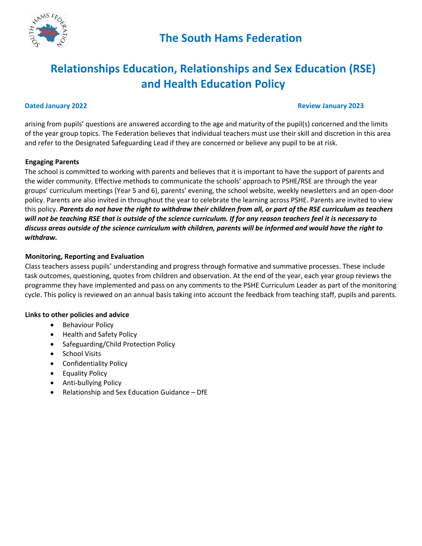

#### **Dated January 2022 Review January 2023 Review January 2023**

arising from pupils' questions are answered according to the age and maturity of the pupil(s) concerned and the limits of the year group topics. The Federation believes that individual teachers must use their skill and discretion in this area and refer to the Designated Safeguarding Lead if they are concerned or believe any pupil to be at risk.

#### **Engaging Parents**

The school is committed to working with parents and believes that it is important to have the support of parents and the wider community. Effective methods to communicate the schools' approach to PSHE/RSE are through the year groups' curriculum meetings (Year 5 and 6), parents' evening, the school website, weekly newsletters and an open-door policy. Parents are also invited in throughout the year to celebrate the learning across PSHE. Parents are invited to view this policy. *Parents do not have the right to withdraw their children from all, or part of the RSE curriculum as teachers will not be teaching RSE that is outside of the science curriculum. If for any reason teachers feel it is necessary to discuss areas outside of the science curriculum with children, parents will be informed and would have the right to withdraw.* 

### **Monitoring, Reporting and Evaluation**

Class teachers assess pupils' understanding and progress through formative and summative processes. These include task outcomes, questioning, quotes from children and observation. At the end of the year, each year group reviews the programme they have implemented and pass on any comments to the PSHE Curriculum Leader as part of the monitoring cycle. This policy is reviewed on an annual basis taking into account the feedback from teaching staff, pupils and parents.

#### **Links to other policies and advice**

- Behaviour Policy
- Health and Safety Policy
- Safeguarding/Child Protection Policy
- School Visits
- Confidentiality Policy
- Equality Policy
- Anti-bullying Policy
- Relationship and Sex Education Guidance DfE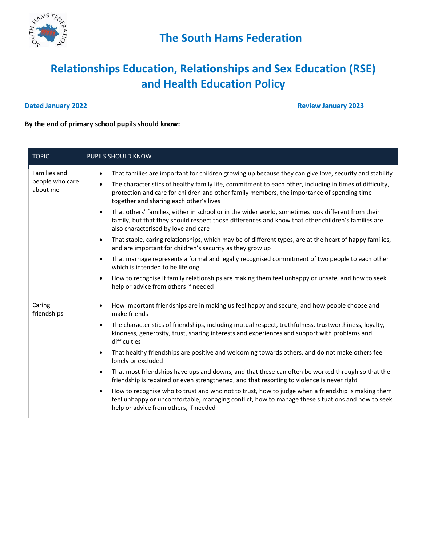

**Dated January 2022 Review January 2023** 

## **By the end of primary school pupils should know:**

| <b>TOPIC</b>                                | PUPILS SHOULD KNOW                                                                                                                                                                                                                                                                                                                                                                   |
|---------------------------------------------|--------------------------------------------------------------------------------------------------------------------------------------------------------------------------------------------------------------------------------------------------------------------------------------------------------------------------------------------------------------------------------------|
| Families and<br>people who care<br>about me | That families are important for children growing up because they can give love, security and stability<br>$\bullet$<br>The characteristics of healthy family life, commitment to each other, including in times of difficulty,<br>$\bullet$<br>protection and care for children and other family members, the importance of spending time<br>together and sharing each other's lives |
|                                             | That others' families, either in school or in the wider world, sometimes look different from their<br>$\bullet$<br>family, but that they should respect those differences and know that other children's families are<br>also characterised by love and care                                                                                                                         |
|                                             | That stable, caring relationships, which may be of different types, are at the heart of happy families,<br>$\bullet$<br>and are important for children's security as they grow up                                                                                                                                                                                                    |
|                                             | That marriage represents a formal and legally recognised commitment of two people to each other<br>$\bullet$<br>which is intended to be lifelong                                                                                                                                                                                                                                     |
|                                             | How to recognise if family relationships are making them feel unhappy or unsafe, and how to seek<br>$\bullet$<br>help or advice from others if needed                                                                                                                                                                                                                                |
| Caring<br>friendships                       | How important friendships are in making us feel happy and secure, and how people choose and<br>$\bullet$<br>make friends                                                                                                                                                                                                                                                             |
|                                             | The characteristics of friendships, including mutual respect, truthfulness, trustworthiness, loyalty,<br>$\bullet$<br>kindness, generosity, trust, sharing interests and experiences and support with problems and<br>difficulties                                                                                                                                                   |
|                                             | That healthy friendships are positive and welcoming towards others, and do not make others feel<br>$\bullet$<br>lonely or excluded                                                                                                                                                                                                                                                   |
|                                             | That most friendships have ups and downs, and that these can often be worked through so that the<br>$\bullet$<br>friendship is repaired or even strengthened, and that resorting to violence is never right                                                                                                                                                                          |
|                                             | How to recognise who to trust and who not to trust, how to judge when a friendship is making them<br>$\bullet$<br>feel unhappy or uncomfortable, managing conflict, how to manage these situations and how to seek<br>help or advice from others, if needed                                                                                                                          |